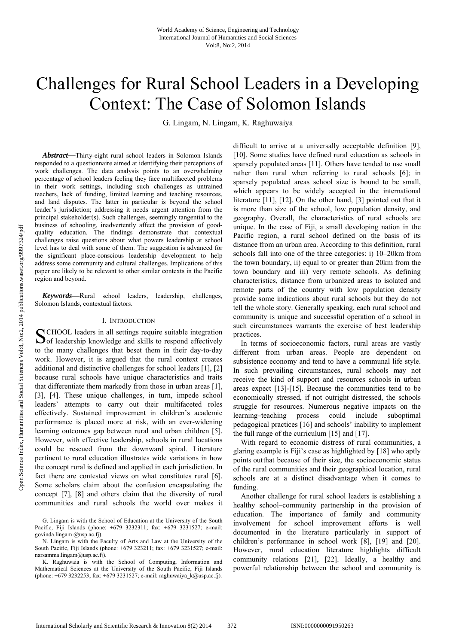# Challenges for Rural School Leaders in a Developing Context: The Case of Solomon Islands

G. Lingam, N. Lingam, K. Raghuwaiya

*Abstract***—**Thirty-eight rural school leaders in Solomon Islands responded to a questionnaire aimed at identifying their perceptions of work challenges. The data analysis points to an overwhelming percentage of school leaders feeling they face multifaceted problems in their work settings, including such challenges as untrained teachers, lack of funding, limited learning and teaching resources, and land disputes. The latter in particular is beyond the school leader's jurisdiction; addressing it needs urgent attention from the principal stakeholder(s). Such challenges, seemingly tangential to the business of schooling, inadvertently affect the provision of goodquality education. The findings demonstrate that contextual challenges raise questions about what powers leadership at school level has to deal with some of them. The suggestion is advanced for the significant place-conscious leadership development to help address some community and cultural challenges. Implications of this paper are likely to be relevant to other similar contexts in the Pacific region and beyond.

*Keywords***—**Rural school leaders, leadership, challenges, Solomon Islands, contextual factors.

#### I. INTRODUCTION

SCHOOL leaders in all settings require suitable integration<br>of leadership knowledge and skills to respond effectively  $\mathbf{\mathcal{O}}$  of leadership knowledge and skills to respond effectively to the many challenges that beset them in their day-to-day work. However, it is argued that the rural context creates additional and distinctive challenges for school leaders [1], [2] because rural schools have unique characteristics and traits that differentiate them markedly from those in urban areas [1], [3], [4]. These unique challenges, in turn, impede school leaders' attempts to carry out their multifaceted roles effectively. Sustained improvement in children's academic performance is placed more at risk, with an ever-widening learning outcomes gap between rural and urban children [5]. However, with effective leadership, schools in rural locations could be rescued from the downward spiral. Literature pertinent to rural education illustrates wide variations in how the concept rural is defined and applied in each jurisdiction. In fact there are contested views on what constitutes rural [6]. Some scholars claim about the confusion encapsulating the concept [7], [8] and others claim that the diversity of rural communities and rural schools the world over makes it

G. Lingam is with the School of Education at the University of the South Pacific, Fiji Islands (phone: +679 3232311; fax: +679 3231527; e-mail: govinda.lingam @usp.ac.fj).

N. Lingam is with the Faculty of Arts and Law at the University of the South Pacific, Fiji Islands (phone: +679 323211; fax: +679 3231527; e-mail: narsamma.lingam@usp.ac.fj).

K. Raghuwaia is with the School of Computing, Information and Mathematical Sciences at the University of the South Pacific, Fiji Islands (phone:  $+679\,3232253$ ; fax:  $+679\,3231527$ ; e-mail: raghuwaiya k@usp.ac.fj).

difficult to arrive at a universally acceptable definition [9], [10]. Some studies have defined rural education as schools in sparsely populated areas [11]. Others have tended to use small rather than rural when referring to rural schools [6]; in sparsely populated areas school size is bound to be small, which appears to be widely accepted in the international literature [11], [12]. On the other hand, [3] pointed out that it is more than size of the school, low population density, and geography. Overall, the characteristics of rural schools are unique. In the case of Fiji, a small developing nation in the Pacific region, a rural school defined on the basis of its distance from an urban area. According to this definition, rural schools fall into one of the three categories: i) 10–20km from the town boundary, ii) equal to or greater than 20km from the town boundary and iii) very remote schools. As defining characteristics, distance from urbanized areas to isolated and remote parts of the country with low population density provide some indications about rural schools but they do not tell the whole story. Generally speaking, each rural school and community is unique and successful operation of a school in such circumstances warrants the exercise of best leadership practices.

In terms of socioeconomic factors, rural areas are vastly different from urban areas. People are dependent on subsistence economy and tend to have a communal life style. In such prevailing circumstances, rural schools may not receive the kind of support and resources schools in urban areas expect [13]-[15]. Because the communities tend to be economically stressed, if not outright distressed, the schools struggle for resources. Numerous negative impacts on the learning–teaching process could include suboptimal pedagogical practices [16] and schools' inability to implement the full range of the curriculum [15] and [17].

With regard to economic distress of rural communities, a glaring example is Fiji's case as highlighted by [18] who aptly points out that because of their size, the socioeconomic status of the rural communities and their geographical location, rural schools are at a distinct disadvantage when it comes to funding.

Another challenge for rural school leaders is establishing a healthy school–community partnership in the provision of education. The importance of family and community involvement for school improvement efforts is well documented in the literature particularly in support of children's performance in school work [8], [19] and [20]. However, rural education literature highlights difficult community relations [21], [22]. Ideally, a healthy and powerful relationship between the school and community is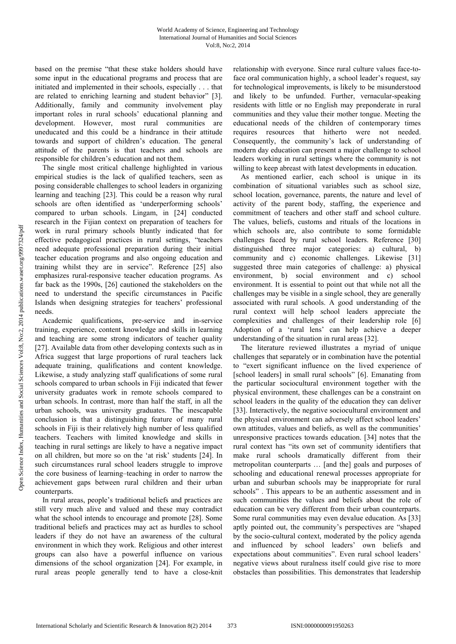based on the premise "that these stake holders should have some input in the educational programs and process that are initiated and implemented in their schools, especially . . . that are related to enriching learning and student behavior" [3]. Additionally, family and community involvement play important roles in rural schools' educational planning and development. However, most rural communities are uneducated and this could be a hindrance in their attitude towards and support of children's education. The general attitude of the parents is that teachers and schools are responsible for children's education and not them.

The single most critical challenge highlighted in various empirical studies is the lack of qualified teachers, seen as posing considerable challenges to school leaders in organizing learning and teaching [23]. This could be a reason why rural schools are often identified as 'underperforming schools' compared to urban schools. Lingam, in [24] conducted research in the Fijian context on preparation of teachers for work in rural primary schools bluntly indicated that for effective pedagogical practices in rural settings, "teachers need adequate professional preparation during their initial teacher education programs and also ongoing education and training whilst they are in service". Reference [25] also emphasizes rural-responsive teacher education programs. As far back as the 1990s, [26] cautioned the stakeholders on the need to understand the specific circumstances in Pacific Islands when designing strategies for teachers' professional needs.

Academic qualifications, pre-service and in-service training, experience, content knowledge and skills in learning and teaching are some strong indicators of teacher quality [27]. Available data from other developing contexts such as in Africa suggest that large proportions of rural teachers lack adequate training, qualifications and content knowledge. Likewise, a study analyzing staff qualifications of some rural schools compared to urban schools in Fiji indicated that fewer university graduates work in remote schools compared to urban schools. In contrast, more than half the staff, in all the urban schools, was university graduates. The inescapable conclusion is that a distinguishing feature of many rural schools in Fiji is their relatively high number of less qualified teachers. Teachers with limited knowledge and skills in teaching in rural settings are likely to have a negative impact on all children, but more so on the 'at risk' students [24]. In such circumstances rural school leaders struggle to improve the core business of learning–teaching in order to narrow the achievement gaps between rural children and their urban counterparts.

In rural areas, people's traditional beliefs and practices are still very much alive and valued and these may contradict what the school intends to encourage and promote [28]. Some traditional beliefs and practices may act as hurdles to school leaders if they do not have an awareness of the cultural environment in which they work. Religious and other interest groups can also have a powerful influence on various dimensions of the school organization [24]. For example, in rural areas people generally tend to have a close-knit relationship with everyone. Since rural culture values face-toface oral communication highly, a school leader's request, say for technological improvements, is likely to be misunderstood and likely to be unfunded. Further, vernacular-speaking residents with little or no English may preponderate in rural communities and they value their mother tongue. Meeting the educational needs of the children of contemporary times requires resources that hitherto were not needed. Consequently, the community's lack of understanding of modern day education can present a major challenge to school leaders working in rural settings where the community is not willing to keep abreast with latest developments in education.

As mentioned earlier, each school is unique in its combination of situational variables such as school size, school location, governance, parents, the nature and level of activity of the parent body, staffing, the experience and commitment of teachers and other staff and school culture. The values, beliefs, customs and rituals of the locations in which schools are, also contribute to some formidable challenges faced by rural school leaders. Reference [30] distinguished three major categories: a) cultural, b) community and c) economic challenges. Likewise [31] suggested three main categories of challenge: a) physical environment, b) social environment and c) school environment. It is essential to point out that while not all the challenges may be visible in a single school, they are generally associated with rural schools. A good understanding of the rural context will help school leaders appreciate the complexities and challenges of their leadership role [6] Adoption of a 'rural lens' can help achieve a deeper understanding of the situation in rural areas [32].

The literature reviewed illustrates a myriad of unique challenges that separately or in combination have the potential to "exert significant influence on the lived experience of [school leaders] in small rural schools" [6]. Emanating from the particular sociocultural environment together with the physical environment, these challenges can be a constraint on school leaders in the quality of the education they can deliver [33]. Interactively, the negative sociocultural environment and the physical environment can adversely affect school leaders' own attitudes, values and beliefs, as well as the communities' unresponsive practices towards education. [34] notes that the rural context has "its own set of community identifiers that make rural schools dramatically different from their metropolitan counterparts … [and the] goals and purposes of schooling and educational renewal processes appropriate for urban and suburban schools may be inappropriate for rural schools" . This appears to be an authentic assessment and in such communities the values and beliefs about the role of education can be very different from their urban counterparts. Some rural communities may even devalue education. As [33] aptly pointed out, the community's perspectives are "shaped by the socio-cultural context, moderated by the policy agenda and influenced by school leaders' own beliefs and expectations about communities". Even rural school leaders' negative views about ruralness itself could give rise to more obstacles than possibilities. This demonstrates that leadership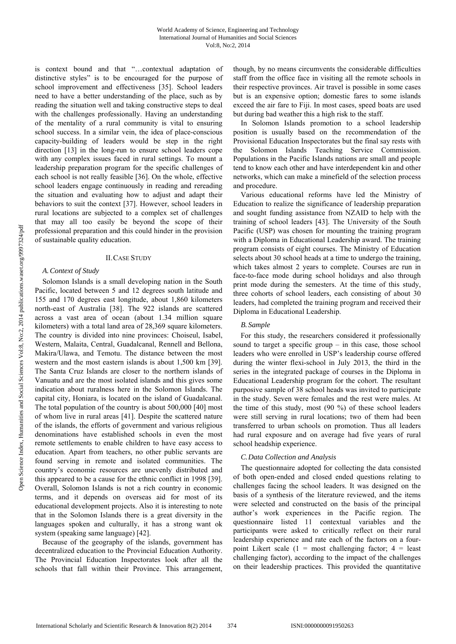is context bound and that "…contextual adaptation of distinctive styles" is to be encouraged for the purpose of school improvement and effectiveness [35]. School leaders need to have a better understanding of the place, such as by reading the situation well and taking constructive steps to deal with the challenges professionally. Having an understanding of the mentality of a rural community is vital to ensuring school success. In a similar vein, the idea of place-conscious capacity-building of leaders would be step in the right direction [13] in the long-run to ensure school leaders cope with any complex issues faced in rural settings. To mount a leadership preparation program for the specific challenges of each school is not really feasible [36]. On the whole, effective school leaders engage continuously in reading and rereading the situation and evaluating how to adjust and adapt their behaviors to suit the context [37]. However, school leaders in rural locations are subjected to a complex set of challenges that may all too easily be beyond the scope of their professional preparation and this could hinder in the provision of sustainable quality education.

## II.CASE STUDY

## *A.Context of Study*

Solomon Islands is a small developing nation in the South Pacific, located between 5 and 12 degrees south latitude and 155 and 170 degrees east longitude, about 1,860 kilometers north-east of Australia [38]. The 922 islands are scattered across a vast area of ocean (about 1.34 million square kilometers) with a total land area of 28,369 square kilometers. The country is divided into nine provinces: Choiseul, Isabel, Western, Malaita, Central, Guadalcanal, Rennell and Bellona, Makira/Ulawa, and Temotu. The distance between the most western and the most eastern islands is about 1,500 km [39]. The Santa Cruz Islands are closer to the northern islands of Vanuatu and are the most isolated islands and this gives some indication about ruralness here in the Solomon Islands. The capital city, Honiara, is located on the island of Guadalcanal. The total population of the country is about 500,000 [40] most of whom live in rural areas [41]. Despite the scattered nature of the islands, the efforts of government and various religious denominations have established schools in even the most remote settlements to enable children to have easy access to education. Apart from teachers, no other public servants are found serving in remote and isolated communities. The country's economic resources are unevenly distributed and this appeared to be a cause for the ethnic conflict in 1998 [39]. Overall, Solomon Islands is not a rich country in economic terms, and it depends on overseas aid for most of its educational development projects. Also it is interesting to note that in the Solomon Islands there is a great diversity in the languages spoken and culturally, it has a strong want ok system (speaking same language) [42].

Because of the geography of the islands, government has decentralized education to the Provincial Education Authority. The Provincial Education Inspectorates look after all the schools that fall within their Province. This arrangement, though, by no means circumvents the considerable difficulties staff from the office face in visiting all the remote schools in their respective provinces. Air travel is possible in some cases but is an expensive option; domestic fares to some islands exceed the air fare to Fiji. In most cases, speed boats are used but during bad weather this a high risk to the staff.

In Solomon Islands promotion to a school leadership position is usually based on the recommendation of the Provisional Education Inspectorates but the final say rests with the Solomon Islands Teaching Service Commission. Populations in the Pacific Islands nations are small and people tend to know each other and have interdependent kin and other networks, which can make a minefield of the selection process and procedure.

Various educational reforms have led the Ministry of Education to realize the significance of leadership preparation and sought funding assistance from NZAID to help with the training of school leaders [43]. The University of the South Pacific (USP) was chosen for mounting the training program with a Diploma in Educational Leadership award. The training program consists of eight courses. The Ministry of Education selects about 30 school heads at a time to undergo the training, which takes almost 2 years to complete. Courses are run in face-to-face mode during school holidays and also through print mode during the semesters. At the time of this study, three cohorts of school leaders, each consisting of about 30 leaders, had completed the training program and received their Diploma in Educational Leadership.

## *B. Sample*

For this study, the researchers considered it professionally sound to target a specific group  $-$  in this case, those school leaders who were enrolled in USP's leadership course offered during the winter flexi-school in July 2013, the third in the series in the integrated package of courses in the Diploma in Educational Leadership program for the cohort. The resultant purposive sample of 38 school heads was invited to participate in the study. Seven were females and the rest were males. At the time of this study, most (90 %) of these school leaders were still serving in rural locations; two of them had been transferred to urban schools on promotion. Thus all leaders had rural exposure and on average had five years of rural school headship experience.

## *C.Data Collection and Analysis*

The questionnaire adopted for collecting the data consisted of both open-ended and closed ended questions relating to challenges facing the school leaders. It was designed on the basis of a synthesis of the literature reviewed, and the items were selected and constructed on the basis of the principal author's work experiences in the Pacific region. The questionnaire listed 11 contextual variables and the participants were asked to critically reflect on their rural leadership experience and rate each of the factors on a fourpoint Likert scale  $(1 = \text{most challenging factor}; 4 = \text{least})$ challenging factor), according to the impact of the challenges on their leadership practices. This provided the quantitative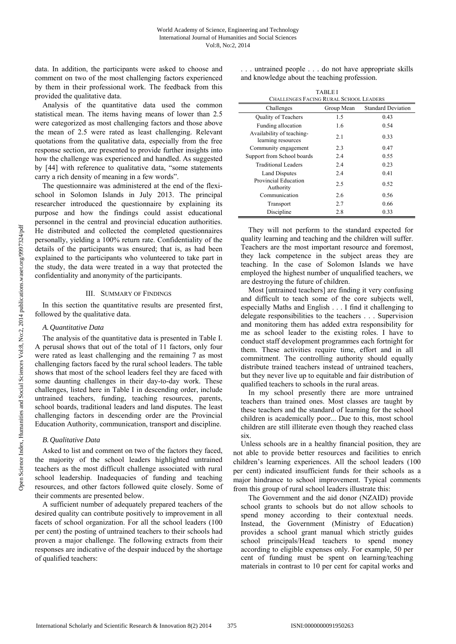data. In addition, the participants were asked to choose and comment on two of the most challenging factors experienced by them in their professional work. The feedback from this provided the qualitative data.

Analysis of the quantitative data used the common statistical mean. The items having means of lower than 2.5 were categorized as most challenging factors and those above the mean of 2.5 were rated as least challenging. Relevant quotations from the qualitative data, especially from the free response section, are presented to provide further insights into how the challenge was experienced and handled. As suggested by [44] with reference to qualitative data, "some statements carry a rich density of meaning in a few words".

The questionnaire was administered at the end of the flexischool in Solomon Islands in July 2013. The principal researcher introduced the questionnaire by explaining its purpose and how the findings could assist educational personnel in the central and provincial education authorities. He distributed and collected the completed questionnaires personally, yielding a 100% return rate. Confidentiality of the details of the participants was ensured; that is, as had been explained to the participants who volunteered to take part in the study, the data were treated in a way that protected the confidentiality and anonymity of the participants.

#### III. SUMMARY OF FINDINGS

In this section the quantitative results are presented first, followed by the qualitative data.

## *A.Quantitative Data*

The analysis of the quantitative data is presented in Table I. A perusal shows that out of the total of 11 factors, only four were rated as least challenging and the remaining 7 as most challenging factors faced by the rural school leaders. The table shows that most of the school leaders feel they are faced with some daunting challenges in their day-to-day work. These challenges, listed here in Table I in descending order, include untrained teachers, funding, teaching resources, parents, school boards, traditional leaders and land disputes. The least challenging factors in descending order are the Provincial Education Authority, communication, transport and discipline.

## *B.Qualitative Data*

Asked to list and comment on two of the factors they faced, the majority of the school leaders highlighted untrained teachers as the most difficult challenge associated with rural school leadership. Inadequacies of funding and teaching resources, and other factors followed quite closely. Some of their comments are presented below.

A sufficient number of adequately prepared teachers of the desired quality can contribute positively to improvement in all facets of school organization. For all the school leaders (100 per cent) the posting of untrained teachers to their schools had proven a major challenge. The following extracts from their responses are indicative of the despair induced by the shortage of qualified teachers:

. . . untrained people . . . do not have appropriate skills and knowledge about the teaching profession.

| TABLE I                                         |            |                           |
|-------------------------------------------------|------------|---------------------------|
| <b>CHALLENGES FACING RURAL SCHOOL LEADERS</b>   |            |                           |
| Challenges                                      | Group Mean | <b>Standard Deviation</b> |
| Quality of Teachers                             | 1.5        | 0.43                      |
| Funding allocation                              | 1.6        | 0.54                      |
| Availability of teaching-<br>learning resources | 2.1        | 0.33                      |
| Community engagement                            | 2.3        | 0.47                      |
| Support from School boards                      | 2.4        | 0.55                      |
| <b>Traditional Leaders</b>                      | 2.4        | 0.23                      |
| <b>Land Disputes</b>                            | 2.4        | 0.41                      |
| Provincial Education<br>Authority               | 2.5        | 0.52                      |
| Communication                                   | 2.6        | 0.56                      |
| Transport                                       | 2.7        | 0.66                      |
| Discipline                                      | 2.8        | 0.33                      |

They will not perform to the standard expected for quality learning and teaching and the children will suffer. Teachers are the most important resource and foremost, they lack competence in the subject areas they are teaching. In the case of Solomon Islands we have employed the highest number of unqualified teachers, we are destroying the future of children.

Most [untrained teachers] are finding it very confusing and difficult to teach some of the core subjects well, especially Maths and English . . . I find it challenging to delegate responsibilities to the teachers . . . Supervision and monitoring them has added extra responsibility for me as school leader to the existing roles. I have to conduct staff development programmes each fortnight for them. These activities require time, effort and in all commitment. The controlling authority should equally distribute trained teachers instead of untrained teachers, but they never live up to equitable and fair distribution of qualified teachers to schools in the rural areas.

In my school presently there are more untrained teachers than trained ones. Most classes are taught by these teachers and the standard of learning for the school children is academically poor... Due to this, most school children are still illiterate even though they reached class six.

Unless schools are in a healthy financial position, they are not able to provide better resources and facilities to enrich children's learning experiences. All the school leaders (100 per cent) indicated insufficient funds for their schools as a major hindrance to school improvement. Typical comments from this group of rural school leaders illustrate this:

The Government and the aid donor (NZAID) provide school grants to schools but do not allow schools to spend money according to their contextual needs. Instead, the Government (Ministry of Education) provides a school grant manual which strictly guides school principals/Head teachers to spend money according to eligible expenses only. For example, 50 per cent of funding must be spent on learning/teaching materials in contrast to 10 per cent for capital works and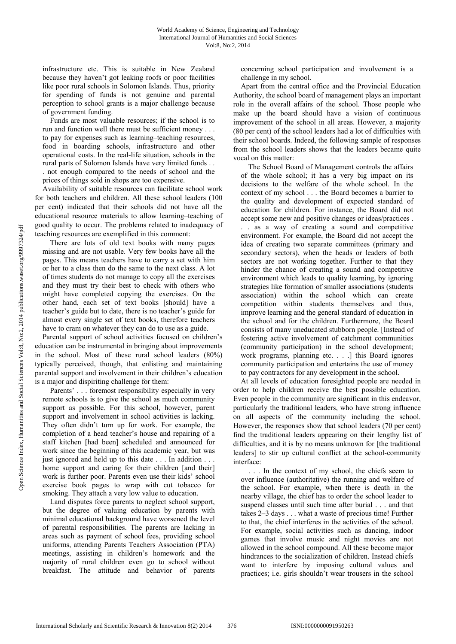infrastructure etc. This is suitable in New Zealand because they haven't got leaking roofs or poor facilities like poor rural schools in Solomon Islands. Thus, priority for spending of funds is not genuine and parental perception to school grants is a major challenge because of government funding.

Funds are most valuable resources; if the school is to run and function well there must be sufficient money . . . to pay for expenses such as learning–teaching resources, food in boarding schools, infrastructure and other operational costs. In the real-life situation, schools in the rural parts of Solomon Islands have very limited funds . . . not enough compared to the needs of school and the

prices of things sold in shops are too expensive. Availability of suitable resources can facilitate school work for both teachers and children. All these school leaders (100 per cent) indicated that their schools did not have all the educational resource materials to allow learning–teaching of good quality to occur. The problems related to inadequacy of teaching resources are exemplified in this comment:

There are lots of old text books with many pages missing and are not usable. Very few books have all the pages. This means teachers have to carry a set with him or her to a class then do the same to the next class. A lot of times students do not manage to copy all the exercises and they must try their best to check with others who might have completed copying the exercises. On the other hand, each set of text books [should] have a teacher's guide but to date, there is no teacher's guide for almost every single set of text books, therefore teachers have to cram on whatever they can do to use as a guide.

Parental support of school activities focused on children's education can be instrumental in bringing about improvements in the school. Most of these rural school leaders (80%) typically perceived, though, that enlisting and maintaining parental support and involvement in their children's education is a major and dispiriting challenge for them:

Parents' . . . foremost responsibility especially in very remote schools is to give the school as much community support as possible. For this school, however, parent support and involvement in school activities is lacking. They often didn't turn up for work. For example, the completion of a head teacher's house and repairing of a staff kitchen [had been] scheduled and announced for work since the beginning of this academic year, but was just ignored and held up to this date . . . In addition . . . home support and caring for their children [and their] work is further poor. Parents even use their kids' school exercise book pages to wrap with cut tobacco for smoking. They attach a very low value to education.

Land disputes force parents to neglect school support, but the degree of valuing education by parents with minimal educational background have worsened the level of parental responsibilities. The parents are lacking in areas such as payment of school fees, providing school uniforms, attending Parents Teachers Association (PTA) meetings, assisting in children's homework and the majority of rural children even go to school without breakfast. The attitude and behavior of parents concerning school participation and involvement is a challenge in my school.

Apart from the central office and the Provincial Education Authority, the school board of management plays an important role in the overall affairs of the school. Those people who make up the board should have a vision of continuous improvement of the school in all areas. However, a majority (80 per cent) of the school leaders had a lot of difficulties with their school boards. Indeed, the following sample of responses from the school leaders shows that the leaders became quite vocal on this matter:

The School Board of Management controls the affairs of the whole school; it has a very big impact on its decisions to the welfare of the whole school. In the context of my school . . . the Board becomes a barrier to the quality and development of expected standard of education for children. For instance, the Board did not accept some new and positive changes or ideas/practices .

. . as a way of creating a sound and competitive environment. For example, the Board did not accept the idea of creating two separate committees (primary and secondary sectors), when the heads or leaders of both sectors are not working together. Further to that they hinder the chance of creating a sound and competitive environment which leads to quality learning, by ignoring strategies like formation of smaller associations (students association) within the school which can create competition within students themselves and thus, improve learning and the general standard of education in the school and for the children. Furthermore, the Board consists of many uneducated stubborn people. [Instead of fostering active involvement of catchment communities (community participation) in the school development; work programs, planning etc. . . .] this Board ignores community participation and entertains the use of money to pay contractors for any development in the school.

At all levels of education foresighted people are needed in order to help children receive the best possible education. Even people in the community are significant in this endeavor, particularly the traditional leaders, who have strong influence on all aspects of the community including the school. However, the responses show that school leaders (70 per cent) find the traditional leaders appearing on their lengthy list of difficulties, and it is by no means unknown for [the traditional leaders] to stir up cultural conflict at the school-community interface:

. . . In the context of my school, the chiefs seem to over influence (authoritative) the running and welfare of the school. For example, when there is death in the nearby village, the chief has to order the school leader to suspend classes until such time after burial . . . and that takes 2–3 days . . . what a waste of precious time! Further to that, the chief interferes in the activities of the school. For example, social activities such as dancing, indoor games that involve music and night movies are not allowed in the school compound. All these become major hindrances to the socialization of children. Instead chiefs want to interfere by imposing cultural values and practices; i.e. girls shouldn't wear trousers in the school

Open Science Index, Humanities and Social Sciences Vol.8, No.2, 2014 publications.waset.org/9997324/pdf Open Science Index, Humanities and Social Sciences Vol:8, No:2, 2014 publications.waset.org/9997324/pdf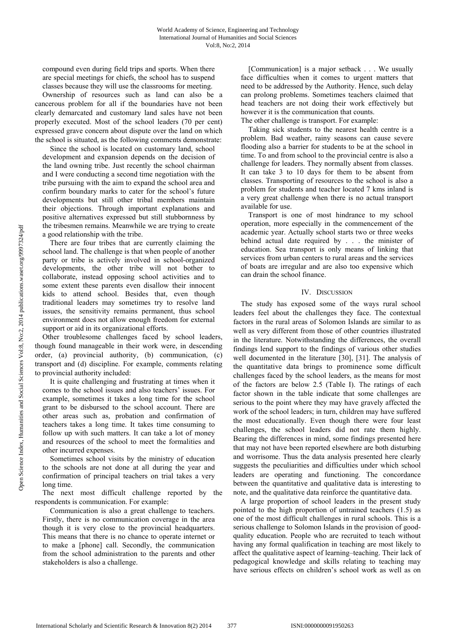compound even during field trips and sports. When there are special meetings for chiefs, the school has to suspend classes because they will use the classrooms for meeting.

Ownership of resources such as land can also be a cancerous problem for all if the boundaries have not been clearly demarcated and customary land sales have not been properly executed. Most of the school leaders (70 per cent) expressed grave concern about dispute over the land on which the school is situated, as the following comments demonstrate:

Since the school is located on customary land, school development and expansion depends on the decision of the land owning tribe. Just recently the school chairman and I were conducting a second time negotiation with the tribe pursuing with the aim to expand the school area and confirm boundary marks to cater for the school's future developments but still other tribal members maintain their objections. Through important explanations and positive alternatives expressed but still stubbornness by the tribesmen remains. Meanwhile we are trying to create a good relationship with the tribe.

There are four tribes that are currently claiming the school land. The challenge is that when people of another party or tribe is actively involved in school-organized developments, the other tribe will not bother to collaborate, instead opposing school activities and to some extent these parents even disallow their innocent kids to attend school. Besides that, even though traditional leaders may sometimes try to resolve land issues, the sensitivity remains permanent, thus school environment does not allow enough freedom for external support or aid in its organizational efforts.

Other troublesome challenges faced by school leaders, though found manageable in their work were, in descending order, (a) provincial authority, (b) communication, (c) transport and (d) discipline. For example, comments relating to provincial authority included:

It is quite challenging and frustrating at times when it comes to the school issues and also teachers' issues. For example, sometimes it takes a long time for the school grant to be disbursed to the school account. There are other areas such as, probation and confirmation of teachers takes a long time. It takes time consuming to follow up with such matters. It can take a lot of money and resources of the school to meet the formalities and other incurred expenses.

Sometimes school visits by the ministry of education to the schools are not done at all during the year and confirmation of principal teachers on trial takes a very long time.

The next most difficult challenge reported by the respondents is communication. For example:

Communication is also a great challenge to teachers. Firstly, there is no communication coverage in the area though it is very close to the provincial headquarters. This means that there is no chance to operate internet or to make a [phone] call. Secondly, the communication from the school administration to the parents and other stakeholders is also a challenge.

[Communication] is a major setback . . . We usually face difficulties when it comes to urgent matters that need to be addressed by the Authority. Hence, such delay can prolong problems. Sometimes teachers claimed that head teachers are not doing their work effectively but however it is the communication that counts.

The other challenge is transport. For example:

Taking sick students to the nearest health centre is a problem. Bad weather, rainy seasons can cause severe flooding also a barrier for students to be at the school in time. To and from school to the provincial centre is also a challenge for leaders. They normally absent from classes. It can take 3 to 10 days for them to be absent from classes. Transporting of resources to the school is also a problem for students and teacher located 7 kms inland is a very great challenge when there is no actual transport available for use.

Transport is one of most hindrance to my school operation, more especially in the commencement of the academic year. Actually school starts two or three weeks behind actual date required by . . . the minister of education. Sea transport is only means of linking that services from urban centers to rural areas and the services of boats are irregular and are also too expensive which can drain the school finance.

## IV. DISCUSSION

The study has exposed some of the ways rural school leaders feel about the challenges they face. The contextual factors in the rural areas of Solomon Islands are similar to as well as very different from those of other countries illustrated in the literature. Notwithstanding the differences, the overall findings lend support to the findings of various other studies well documented in the literature [30], [31]. The analysis of the quantitative data brings to prominence some difficult challenges faced by the school leaders, as the means for most of the factors are below 2.5 (Table I). The ratings of each factor shown in the table indicate that some challenges are serious to the point where they may have gravely affected the work of the school leaders; in turn, children may have suffered the most educationally. Even though there were four least challenges, the school leaders did not rate them highly. Bearing the differences in mind, some findings presented here that may not have been reported elsewhere are both disturbing and worrisome. Thus the data analysis presented here clearly suggests the peculiarities and difficulties under which school leaders are operating and functioning. The concordance between the quantitative and qualitative data is interesting to note, and the qualitative data reinforce the quantitative data.

A large proportion of school leaders in the present study pointed to the high proportion of untrained teachers (1.5) as one of the most difficult challenges in rural schools. This is a serious challenge to Solomon Islands in the provision of goodquality education. People who are recruited to teach without having any formal qualification in teaching are most likely to affect the qualitative aspect of learning–teaching. Their lack of pedagogical knowledge and skills relating to teaching may have serious effects on children's school work as well as on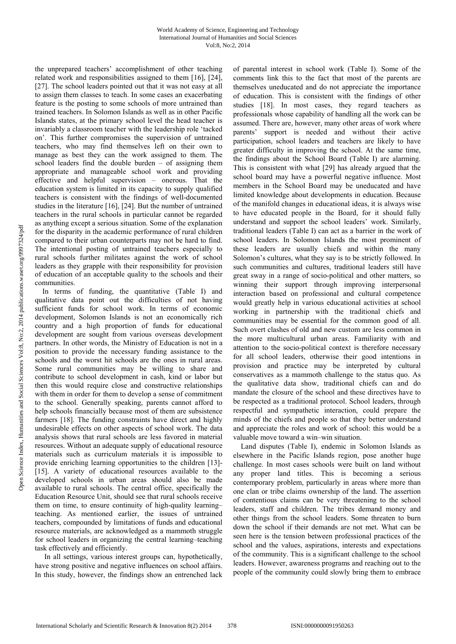the unprepared teachers' accomplishment of other teaching related work and responsibilities assigned to them [16], [24], [27]. The school leaders pointed out that it was not easy at all to assign them classes to teach. In some cases an exacerbating feature is the posting to some schools of more untrained than trained teachers. In Solomon Islands as well as in other Pacific Islands states, at the primary school level the head teacher is invariably a classroom teacher with the leadership role 'tacked on'. This further compromises the supervision of untrained teachers, who may find themselves left on their own to manage as best they can the work assigned to them. The school leaders find the double burden – of assigning them appropriate and manageable school work and providing effective and helpful supervision – onerous. That the education system is limited in its capacity to supply qualified teachers is consistent with the findings of well-documented studies in the literature [16], [24]. But the number of untrained teachers in the rural schools in particular cannot be regarded as anything except a serious situation. Some of the explanation for the disparity in the academic performance of rural children compared to their urban counterparts may not be hard to find. The intentional posting of untrained teachers especially to rural schools further militates against the work of school leaders as they grapple with their responsibility for provision of education of an acceptable quality to the schools and their communities.

In terms of funding, the quantitative (Table I) and qualitative data point out the difficulties of not having sufficient funds for school work. In terms of economic development, Solomon Islands is not an economically rich country and a high proportion of funds for educational development are sought from various overseas development partners. In other words, the Ministry of Education is not in a position to provide the necessary funding assistance to the schools and the worst hit schools are the ones in rural areas. Some rural communities may be willing to share and contribute to school development in cash, kind or labor but then this would require close and constructive relationships with them in order for them to develop a sense of commitment to the school. Generally speaking, parents cannot afford to help schools financially because most of them are subsistence farmers [18]. The funding constraints have direct and highly undesirable effects on other aspects of school work. The data analysis shows that rural schools are less favored in material resources. Without an adequate supply of educational resource materials such as curriculum materials it is impossible to provide enriching learning opportunities to the children [13]- [15]. A variety of educational resources available to the developed schools in urban areas should also be made available to rural schools. The central office, specifically the Education Resource Unit, should see that rural schools receive them on time, to ensure continuity of high-quality learning– teaching. As mentioned earlier, the issues of untrained teachers, compounded by limitations of funds and educational resource materials, are acknowledged as a mammoth struggle for school leaders in organizing the central learning–teaching task effectively and efficiently.

 In all settings, various interest groups can, hypothetically, have strong positive and negative influences on school affairs. In this study, however, the findings show an entrenched lack of parental interest in school work (Table I). Some of the comments link this to the fact that most of the parents are themselves uneducated and do not appreciate the importance of education. This is consistent with the findings of other studies [18]. In most cases, they regard teachers as professionals whose capability of handling all the work can be assumed. There are, however, many other areas of work where parents' support is needed and without their active participation, school leaders and teachers are likely to have greater difficulty in improving the school. At the same time, the findings about the School Board (Table I) are alarming. This is consistent with what [29] has already argued that the school board may have a powerful negative influence. Most members in the School Board may be uneducated and have limited knowledge about developments in education. Because of the manifold changes in educational ideas, it is always wise to have educated people in the Board, for it should fully understand and support the school leaders' work. Similarly, traditional leaders (Table I) can act as a barrier in the work of school leaders. In Solomon Islands the most prominent of these leaders are usually chiefs and within the many Solomon's cultures, what they say is to be strictly followed. In such communities and cultures, traditional leaders still have great sway in a range of socio-political and other matters, so winning their support through improving interpersonal interaction based on professional and cultural competence would greatly help in various educational activities at school working in partnership with the traditional chiefs and communities may be essential for the common good of all. Such overt clashes of old and new custom are less common in the more multicultural urban areas. Familiarity with and attention to the socio-political context is therefore necessary for all school leaders, otherwise their good intentions in provision and practice may be interpreted by cultural conservatives as a mammoth challenge to the status quo. As the qualitative data show, traditional chiefs can and do mandate the closure of the school and these directives have to be respected as a traditional protocol. School leaders, through respectful and sympathetic interaction, could prepare the minds of the chiefs and people so that they better understand and appreciate the roles and work of school: this would be a valuable move toward a win–win situation.

Land disputes (Table I), endemic in Solomon Islands as elsewhere in the Pacific Islands region, pose another huge challenge. In most cases schools were built on land without any proper land titles. This is becoming a serious contemporary problem, particularly in areas where more than one clan or tribe claims ownership of the land. The assertion of contentious claims can be very threatening to the school leaders, staff and children. The tribes demand money and other things from the school leaders. Some threaten to burn down the school if their demands are not met. What can be seen here is the tension between professional practices of the school and the values, aspirations, interests and expectations of the community. This is a significant challenge to the school leaders. However, awareness programs and reaching out to the people of the community could slowly bring them to embrace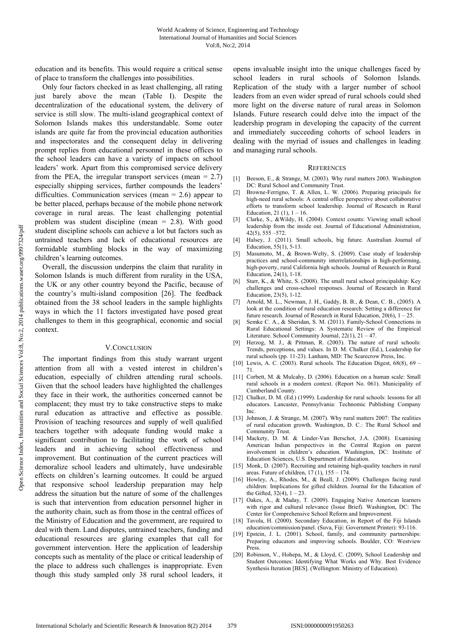education and its benefits. This would require a critical sense of place to transform the challenges into possibilities.

Only four factors checked in as least challenging, all rating just barely above the mean (Table I). Despite the decentralization of the educational system, the delivery of service is still slow. The multi-island geographical context of Solomon Islands makes this understandable. Some outer islands are quite far from the provincial education authorities and inspectorates and the consequent delay in delivering prompt replies from educational personnel in these offices to the school leaders can have a variety of impacts on school leaders' work. Apart from this compromised service delivery from the PEA, the irregular transport services (mean  $= 2.7$ ) especially shipping services, further compounds the leaders' difficulties. Communication services (mean  $= 2.6$ ) appear to be better placed, perhaps because of the mobile phone network coverage in rural areas. The least challenging potential problem was student discipline (mean = 2.8). With good student discipline schools can achieve a lot but factors such as untrained teachers and lack of educational resources are formidable stumbling blocks in the way of maximizing children's learning outcomes.

Overall, the discussion underpins the claim that rurality in Solomon Islands is much different from rurality in the USA, the UK or any other country beyond the Pacific, because of the country's multi-island composition [26]. The feedback obtained from the 38 school leaders in the sample highlights ways in which the 11 factors investigated have posed great challenges to them in this geographical, economic and social context.

#### V.CONCLUSION

The important findings from this study warrant urgent attention from all with a vested interest in children's education, especially of children attending rural schools. Given that the school leaders have highlighted the challenges they face in their work, the authorities concerned cannot be complacent; they must try to take constructive steps to make rural education as attractive and effective as possible. Provision of teaching resources and supply of well qualified teachers together with adequate funding would make a significant contribution to facilitating the work of school leaders and in achieving school effectiveness and improvement. But continuation of the current practices will demoralize school leaders and ultimately, have undesirable effects on children's learning outcomes. It could be argued that responsive school leadership preparation may help address the situation but the nature of some of the challenges is such that intervention from education personnel higher in the authority chain, such as from those in the central offices of the Ministry of Education and the government, are required to deal with them. Land disputes, untrained teachers, funding and educational resources are glaring examples that call for government intervention. Here the application of leadership concepts such as mentality of the place or critical leadership of the place to address such challenges is inappropriate. Even though this study sampled only 38 rural school leaders, it

opens invaluable insight into the unique challenges faced by school leaders in rural schools of Solomon Islands. Replication of the study with a larger number of school leaders from an even wider spread of rural schools could shed more light on the diverse nature of rural areas in Solomon Islands. Future research could delve into the impact of the leadership program in developing the capacity of the current and immediately succeeding cohorts of school leaders in dealing with the myriad of issues and challenges in leading and managing rural schools.

#### **REFERENCES**

- [1] Beeson, E., & Strange, M. (2003). Why rural matters 2003. Washington DC: Rural School and Community Trust.
- [2] Browne-Ferrigno, T. & Allen, L. W. (2006). Preparing principals for high-need rural schools: A central office perspective about collaborative efforts to transform school leadership. Journal of Research in Rural Education, 21 $(1)$ , 1 – 16.
- [3] Clarke, S., &Wildy, H. (2004). Context counts: Viewing small school leadership from the inside out. Journal of Educational Administration, 42(5), 555 –572.
- [4] Halsey, J. (2011). Small schools, big future. Australian Journal of Education, 55(1), 5-13.
- [5] Masumoto, M., & Brown-Welty, S. (2009). Case study of leadership practices and school-community interrelationships in high-performing, high-poverty, rural California high schools. Journal of Research in Rural Education, 24(1), 1-18.
- [6] Starr, K., & White, S. (2008). The small rural school principalship: Key challenges and cross-school responses. Journal of Research in Rural Education, 23(5), 1-12.
- [7] Arnold, M. L., Newman, J. H., Gaddy, B. B., & Dean, C. B., (2005). A look at the condition of rural education research: Setting a difference for future research. Journal of Research in Rural Education,  $20(6)$ ,  $1 - 25$ .
- [8] Semke C. A., & Sheridan, S. M. (2011). Family-School Connections in Rural Educational Settings: A Systematic Review of the Empirical Literature. School Community Journal, 22(1), 21 – 47.
- [9] Herzog, M. J., & Pittman, R. (2003). The nature of rural schools: Trends, perceptions, and values. In D. M. Chalker (Ed.), Leadership for rural schools (pp. 11-23). Lanham, MD: The Scarecrow Press, Inc.
- [10] Lewis, A. C. (2003). Rural schools. The Education Digest,  $68(8)$ ,  $69$  71.
- [11] Corbett, M. & Mulcahy, D. (2006). Education on a human scale: Small rural schools in a modern context. (Report No. 061). Municipality of Cumberland County.
- [12] Chalker, D. M. (Ed.) (1999). Leadership for rural schools: lessons for all educators. Lancaster, Pennsylvania: Technomic Publishing Company Inc.
- [13] Johnson, J. & Strange, M. (2007). Why rural matters 2007: The realities of rural education growth. Washington, D. C.: The Rural School and Community Trust.
- [14] Mackety, D. M. & Linder-Van Berschot, J.A. (2008). Examining American Indian perspectives in the Central Region on parent involvement in children's education. Washington, DC: Institute of Education Sciences, U.S. Department of Education.
- [15] Monk, D. (2007). Recruiting and retaining high-quality teachers in rural areas. Future of children,  $17(1)$ ,  $155 - 174$ .
- [16] Howley, A., Rhodes, M., & Beall, J. (2009). Challenges facing rural children: Implications for gifted children. Journal for the Education of the Gifted,  $32(4)$ ,  $1 - 23$ .
- [17] Oakes, A., & Maday, T. (2009). Engaging Native American learners with rigor and cultural relevance (Issue Brief). Washington, DC: The Center for Comprehensive School Reform and Improvement.
- [18] Tavola, H. (2000). Secondary Education, in Report of the Fiji Islands education/commission/panel. (Suva, Fiji: Government Printer): 93-116.
- [19] Epstein, J. L. (2001). School, family, and community partnerships: Preparing educators and improving schools. Boulder, CO: Westview Press.
- [20] Robinson, V., Hohepa, M., & Lloyd, C. (2009), School Leadership and Student Outcomes: Identifying What Works and Why. Best Evidence Synthesis Iteration [BES]. (Wellington: Ministry of Education).